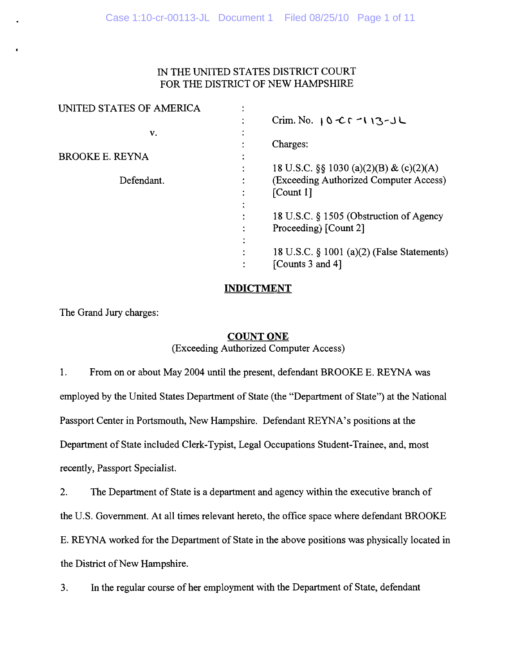# IN THE UNITED STATES DISTRICT COURT FOR THE DISTRICT OF NEW HAMPSHIRE

| UNITED STATES OF AMERICA |                                                     |
|--------------------------|-----------------------------------------------------|
|                          | Crim. No. $0 \text{ C}$ $0 \text{ C}$ $1 \text{ C}$ |
| v.                       |                                                     |
|                          | Charges:                                            |
| <b>BROOKE E. REYNA</b>   |                                                     |
|                          | 18 U.S.C. §§ 1030 (a)(2)(B) & (c)(2)(A)             |
| Defendant.               | (Exceeding Authorized Computer Access)              |
|                          | [Count 1]                                           |
|                          |                                                     |
|                          | 18 U.S.C. § 1505 (Obstruction of Agency             |
|                          | Proceeding) [Count 2]                               |
|                          |                                                     |
|                          | 18 U.S.C. $\S$ 1001 (a)(2) (False Statements)       |
|                          | [Counts 3 and 4]                                    |
|                          |                                                     |

#### **INDICTMENT INDICTMENT**

The Grand Jury charges: The Grand Jury charges:

# **COUNT ONE**

**(Exceeding Authorized Computer Access)** 

 $1.$ From on or about May 2004 until the present, defendant BROOKE E. REYNA was employed by the United States Department of State (the "Department of State") at the National Passport Center in Portsmouth, New Hampshire. Defendant REYNA's positions at the Department of State included Clerk-Typist, Legal Occupations Student-Trainee, and, most recently, Passport Specialist.

2. The Department of State is a department and agency within the executive branch of

the U.S. Government. At all times relevant hereto, the office space where defendant BROOKE

E. REYNA worked for the Department of State in the above positions was physically located in

the District of New Hampshire.

3. In the regular course of her employment with the Department of State, defendant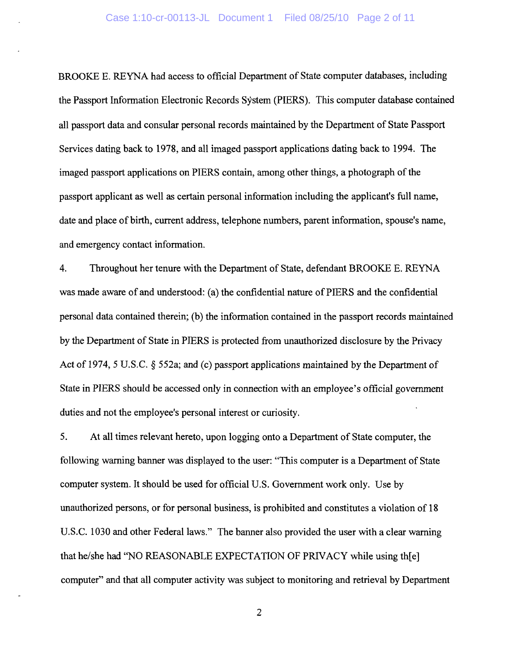BROOKE E. REYNA had access to official Department of State computer databases, including the Passport Information Electronic Records System (PIERS). This computer database contained all passport data and consular personal records maintained by the Department of State Passport Services dating back to 1978, and all imaged passport applications dating back to 1994. The imaged passport applications on PIERS contain, among other things, a photograph of the passport applicant as well as certain personal information including the applicant's full name, date and place of birth, current address, telephone numbers, parent information, spouse's name, and emergency contact information.

4. Throughout her tenure with the Department of State, defendant BROOKE E. REYNA was made aware of and understood: (a) the confidential nature of PIERS and the confidential personal data contained therein; (b) the information contained in the passport records maintained by the Department of State in PIERS is protected from unauthorized disclosure by the Privacy Act of 1974, 5 U.S.C. § 552a; and (c) passport applications maintained by the Department of State in PIERS should be accessed only in connection with an employee's official government duties and not the employee's personal interest or curiosity.

5. At all times relevant hereto, upon logging onto a Department of State computer, the following warning banner was displayed to the user: "This computer is a Department of State computer system. It should be used for official U.S. Government work only. Use by unauthorized persons, or for personal business, is prohibited and constitutes a violation of 18 U.S.C. 1030 and other Federal laws." The banner also provided the user with a clear warning that he/she had "NO REASONABLE EXPECTATION OF PRIVACY while using th[e] computer" and that all computer activity was subject to monitoring and retrieval by Department

**2**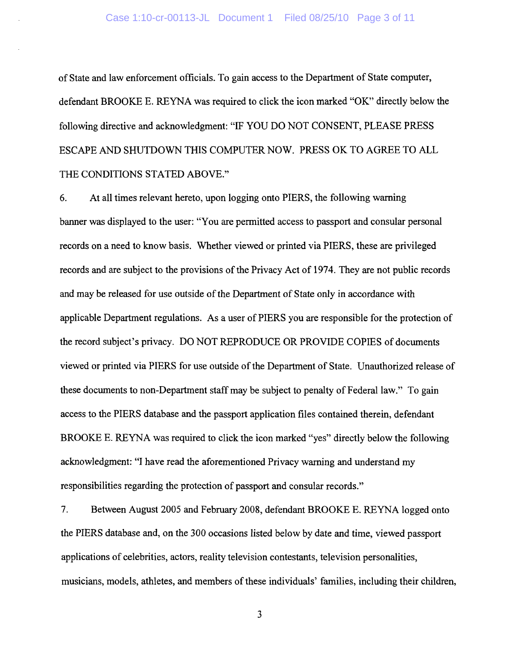of State and law enforcement officials. To gain access to the Department of State computer, defendant BROOKE E. REYNA was required to click the icon marked "OK" directly below the following directive and acknowledgment: "IF YOU DO NOT CONSENT, PLEASE PRESS ESCAPE AND SHUTDOWN THIS COMPUTER NOW. PRESS OK TO AGREE TO ALL THE CONDITIONS STATED ABOVE."

6. At all times relevant hereto, upon logging onto PIERS, the following warning banner was displayed to the user: "You are permitted access to passport and consular personal records on a need to know basis. Whether viewed or printed via PIERS, these are privileged records and are subject to the provisions of the Privacy Act of 1974. They are not public records and may be released for use outside of the Department of State only in accordance with applicable Department regulations. As a user of PIERS you are responsible for the protection of the record subject's privacy. DO NOT REPRODUCE OR PROVIDE COPIES of documents viewed or printed via PIERS for use outside of the Department of State. Unauthorized release of these documents to non-Department staff may be subject to penalty of Federal law." To gain access to the PIERS database and the passport application files contained therein, defendant BROOKE E. REYNA was required to click the icon marked "yes" directly below the following acknowledgment: "I have read the aforementioned Privacy warning and understand my responsibilities regarding the protection of passport and consular records."

7. Between August 2005 and February 2008, defendant BROOKE E. REYNA logged onto the PIERS database and, on the 300 occasions listed below by date and time, viewed passport applications of celebrities, actors, reality television contestants, television personalities, musicians, models, athletes, and members of these individuals' families, including their children,

**3**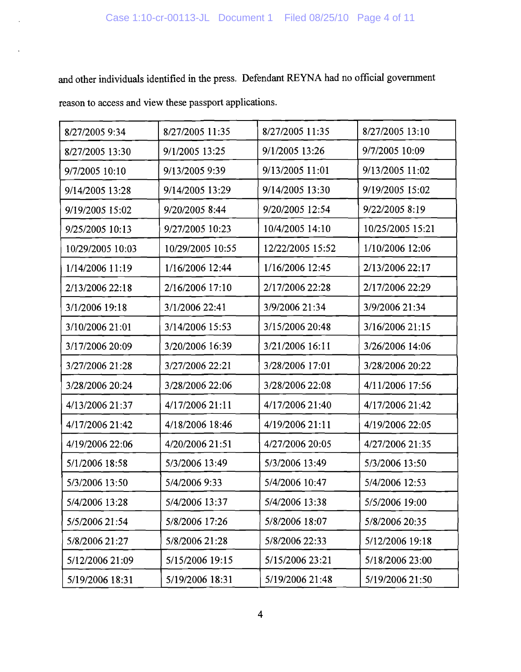and other individuals identified in the press. Defendant REYNA had no official government

reason to access and view these passport applications.

| 8/27/2005 9:34   | 8/27/2005 11:35  | 8/27/2005 11:35  | 8/27/2005 13:10  |
|------------------|------------------|------------------|------------------|
|                  |                  |                  |                  |
| 8/27/2005 13:30  | 9/1/2005 13:25   | 9/1/2005 13:26   | 9/7/2005 10:09   |
| 9/7/2005 10:10   | 9/13/2005 9:39   | 9/13/2005 11:01  | 9/13/2005 11:02  |
| 9/14/2005 13:28  | 9/14/2005 13:29  | 9/14/2005 13:30  | 9/19/2005 15:02  |
| 9/19/2005 15:02  | 9/20/2005 8:44   | 9/20/2005 12:54  | 9/22/2005 8:19   |
| 9/25/2005 10:13  | 9/27/2005 10:23  | 10/4/2005 14:10  | 10/25/2005 15:21 |
| 10/29/2005 10:03 | 10/29/2005 10:55 | 12/22/2005 15:52 | 1/10/2006 12:06  |
| 1/14/2006 11:19  | 1/16/2006 12:44  | 1/16/2006 12:45  | 2/13/2006 22:17  |
| 2/13/2006 22:18  | 2/16/2006 17:10  | 2/17/2006 22:28  | 2/17/2006 22:29  |
| 3/1/2006 19:18   | 3/1/2006 22:41   | 3/9/2006 21:34   | 3/9/2006 21:34   |
| 3/10/2006 21:01  | 3/14/2006 15:53  | 3/15/2006 20:48  | 3/16/2006 21:15  |
| 3/17/2006 20:09  | 3/20/2006 16:39  | 3/21/2006 16:11  | 3/26/2006 14:06  |
| 3/27/2006 21:28  | 3/27/2006 22:21  | 3/28/2006 17:01  | 3/28/2006 20:22  |
| 3/28/2006 20:24  | 3/28/2006 22:06  | 3/28/2006 22:08  | 4/11/2006 17:56  |
| 4/13/2006 21:37  | 4/17/2006 21:11  | 4/17/2006 21:40  | 4/17/2006 21:42  |
| 4/17/2006 21:42  | 4/18/2006 18:46  | 4/19/2006 21:11  | 4/19/2006 22:05  |
| 4/19/2006 22:06  | 4/20/2006 21:51  | 4/27/2006 20:05  | 4/27/2006 21:35  |
| 5/1/2006 18:58   | 5/3/2006 13:49   | 5/3/2006 13:49   | 5/3/2006 13:50   |
| 5/3/2006 13:50   | 5/4/2006 9:33    | 5/4/2006 10:47   | 5/4/2006 12:53   |
| 5/4/2006 13:28   | 5/4/2006 13:37   | 5/4/2006 13:38   | 5/5/2006 19:00   |
| 5/5/2006 21:54   | 5/8/2006 17:26   | 5/8/2006 18:07   | 5/8/2006 20:35   |
| 5/8/2006 21:27   | 5/8/2006 21:28   | 5/8/2006 22:33   | 5/12/2006 19:18  |
| 5/12/2006 21:09  | 5/15/2006 19:15  | 5/15/2006 23:21  | 5/18/2006 23:00  |
| 5/19/2006 18:31  | 5/19/2006 18:31  | 5/19/2006 21:48  | 5/19/2006 21:50  |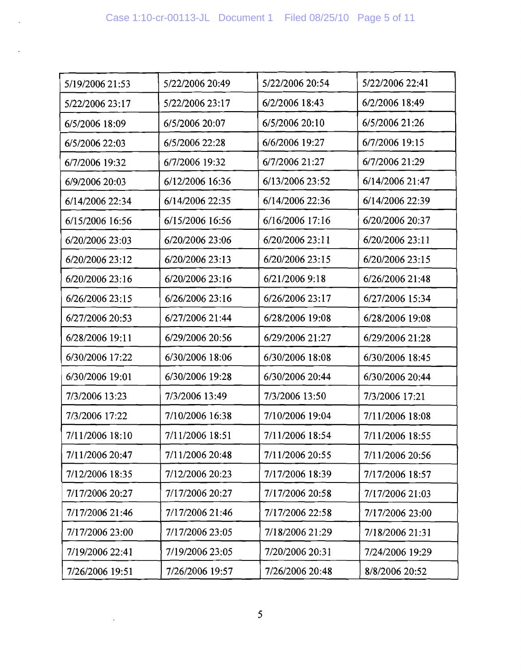l.

| 5/19/2006 21:53 | 5/22/2006 20:49 | 5/22/2006 20:54 | 5/22/2006 22:41 |
|-----------------|-----------------|-----------------|-----------------|
| 5/22/2006 23:17 | 5/22/2006 23:17 | 6/2/2006 18:43  | 6/2/2006 18:49  |
| 6/5/2006 18:09  | 6/5/2006 20:07  | 6/5/2006 20:10  | 6/5/2006 21:26  |
| 6/5/2006 22:03  | 6/5/2006 22:28  | 6/6/2006 19:27  | 6/7/2006 19:15  |
| 6/7/2006 19:32  | 6/7/2006 19:32  | 6/7/2006 21:27  | 6/7/2006 21:29  |
| 6/9/2006 20:03  | 6/12/2006 16:36 | 6/13/2006 23:52 | 6/14/2006 21:47 |
| 6/14/2006 22:34 | 6/14/2006 22:35 | 6/14/2006 22:36 | 6/14/2006 22:39 |
| 6/15/2006 16:56 | 6/15/2006 16:56 | 6/16/2006 17:16 | 6/20/2006 20:37 |
| 6/20/2006 23:03 | 6/20/2006 23:06 | 6/20/2006 23:11 | 6/20/2006 23:11 |
| 6/20/2006 23:12 | 6/20/2006 23:13 | 6/20/2006 23:15 | 6/20/2006 23:15 |
| 6/20/2006 23:16 | 6/20/2006 23:16 | 6/21/2006 9:18  | 6/26/2006 21:48 |
| 6/26/2006 23:15 | 6/26/2006 23:16 | 6/26/2006 23:17 | 6/27/2006 15:34 |
| 6/27/2006 20:53 | 6/27/2006 21:44 | 6/28/2006 19:08 | 6/28/2006 19:08 |
| 6/28/2006 19:11 | 6/29/2006 20:56 | 6/29/2006 21:27 | 6/29/2006 21:28 |
| 6/30/2006 17:22 | 6/30/2006 18:06 | 6/30/2006 18:08 | 6/30/2006 18:45 |
| 6/30/2006 19:01 | 6/30/2006 19:28 | 6/30/2006 20:44 | 6/30/2006 20:44 |
| 7/3/2006 13:23  | 7/3/2006 13:49  | 7/3/2006 13:50  | 7/3/2006 17:21  |
| 7/3/2006 17:22  | 7/10/2006 16:38 | 7/10/2006 19:04 | 7/11/2006 18:08 |
| 7/11/2006 18:10 | 7/11/2006 18:51 | 7/11/2006 18:54 | 7/11/2006 18:55 |
| 7/11/2006 20:47 | 7/11/2006 20:48 | 7/11/2006 20:55 | 7/11/2006 20:56 |
| 7/12/2006 18:35 | 7/12/2006 20:23 | 7/17/2006 18:39 | 7/17/2006 18:57 |
| 7/17/2006 20:27 | 7/17/2006 20:27 | 7/17/2006 20:58 | 7/17/2006 21:03 |
| 7/17/2006 21:46 | 7/17/2006 21:46 | 7/17/2006 22:58 | 7/17/2006 23:00 |
| 7/17/2006 23:00 | 7/17/2006 23:05 | 7/18/2006 21:29 | 7/18/2006 21:31 |
| 7/19/2006 22:41 | 7/19/2006 23:05 | 7/20/2006 20:31 | 7/24/2006 19:29 |
| 7/26/2006 19:51 | 7/26/2006 19:57 | 7/26/2006 20:48 | 8/8/2006 20:52  |

 $\bar{\mathcal{A}}$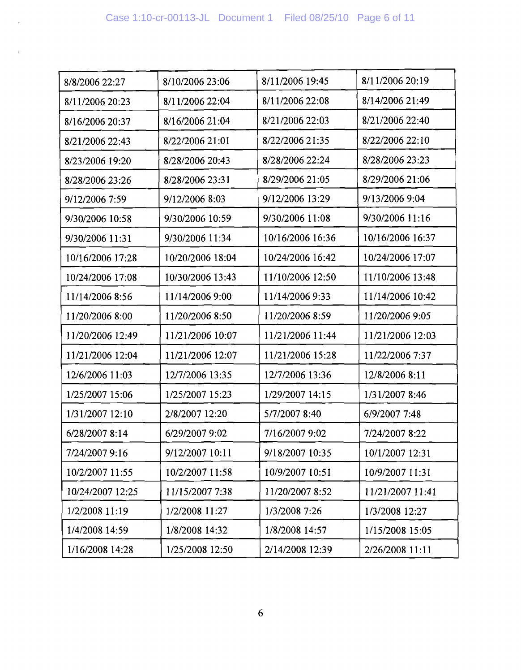$\mathbb{Z}$ 

 $\mathbb{Z}^2$ 

| 8/8/2006 22:27   | 8/10/2006 23:06  | 8/11/2006 19:45  | 8/11/2006 20:19  |
|------------------|------------------|------------------|------------------|
| 8/11/2006 20:23  | 8/11/2006 22:04  | 8/11/2006 22:08  | 8/14/2006 21:49  |
| 8/16/2006 20:37  | 8/16/2006 21:04  | 8/21/2006 22:03  | 8/21/2006 22:40  |
| 8/21/2006 22:43  | 8/22/2006 21:01  | 8/22/2006 21:35  | 8/22/2006 22:10  |
| 8/23/2006 19:20  | 8/28/2006 20:43  | 8/28/2006 22:24  | 8/28/2006 23:23  |
| 8/28/2006 23:26  | 8/28/2006 23:31  | 8/29/2006 21:05  | 8/29/2006 21:06  |
| 9/12/2006 7:59   | 9/12/2006 8:03   | 9/12/2006 13:29  | 9/13/2006 9:04   |
| 9/30/2006 10:58  | 9/30/2006 10:59  | 9/30/2006 11:08  | 9/30/2006 11:16  |
| 9/30/2006 11:31  | 9/30/2006 11:34  | 10/16/2006 16:36 | 10/16/2006 16:37 |
| 10/16/2006 17:28 | 10/20/2006 18:04 | 10/24/2006 16:42 | 10/24/2006 17:07 |
| 10/24/2006 17:08 | 10/30/2006 13:43 | 11/10/2006 12:50 | 11/10/2006 13:48 |
| 11/14/2006 8:56  | 11/14/2006 9:00  | 11/14/2006 9:33  | 11/14/2006 10:42 |
| 11/20/2006 8:00  | 11/20/2006 8:50  | 11/20/2006 8:59  | 11/20/2006 9:05  |
| 11/20/2006 12:49 | 11/21/2006 10:07 | 11/21/2006 11:44 | 11/21/2006 12:03 |
| 11/21/2006 12:04 | 11/21/2006 12:07 | 11/21/2006 15:28 | 11/22/2006 7:37  |
| 12/6/2006 11:03  | 12/7/2006 13:35  | 12/7/2006 13:36  | 12/8/2006 8:11   |
| 1/25/2007 15:06  | 1/25/2007 15:23  | 1/29/2007 14:15  | 1/31/2007 8:46   |
| 1/31/2007 12:10  | 2/8/2007 12:20   | 5/7/2007 8:40    | 6/9/2007 7:48    |
| 6/28/2007 8:14   | 6/29/2007 9:02   | 7/16/2007 9:02   | 7/24/2007 8:22   |
| 7/24/2007 9:16   | 9/12/2007 10:11  | 9/18/2007 10:35  | 10/1/2007 12:31  |
| 10/2/2007 11:55  | 10/2/2007 11:58  | 10/9/2007 10:51  | 10/9/2007 11:31  |
| 10/24/2007 12:25 | 11/15/2007 7:38  | 11/20/2007 8:52  | 11/21/2007 11:41 |
| 1/2/2008 11:19   | 1/2/2008 11:27   | 1/3/2008 7:26    | 1/3/2008 12:27   |
| 1/4/2008 14:59   | 1/8/2008 14:32   | 1/8/2008 14:57   | 1/15/2008 15:05  |
| 1/16/2008 14:28  | 1/25/2008 12:50  | 2/14/2008 12:39  | 2/26/2008 11:11  |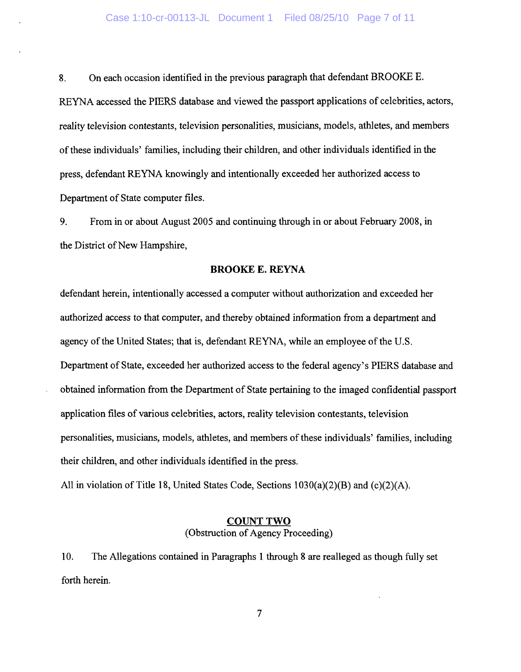8. On each occasion identified in the previous paragraph that defendant BROOKE E. REYNA accessed the PIERS database and viewed the passport applications of celebrities, actors, reality television contestants, television personalities, musicians, models, athletes, and members of these individuals' families, including their children, and other individuals identified in the press, defendant REYNA knowingly and intentionally exceeded her authorized access to Department of State computer files.

9. From in or about August 2005 and continuing through in or about February 2008, in the District of New Hampshire,

#### **BROOKE E. REYNA**

defendant herein, intentionally accessed a computer without authorization and exceeded her authorized access to that computer, and thereby obtained information from a department and agency of the United States; that is, defendant REYNA, while an employee of the U.S. Department of State, exceeded her authorized access to the federal agency's PIERS database and obtained information from the Department of State pertaining to the imaged confidential passport application files of various celebrities, actors, reality television contestants, television personalities, musicians, models, athletes, and members of these individuals' families, including their children, and other individuals identified in the press.

All in violation of Title 18, United States Code, Sections 1030(a)(2)(B) and (c)(2)(A).

# **COUNT TWO**<br>(Obstruction of Agency Proceeding) (Obstruction of Agency Proceeding)

 $10.$ The Allegations contained in Paragraphs 1 through 8 are realleged as though fully set 10. The Allegations contained in Paragraphs 1 through 8 are realleged as though fully set forth herein.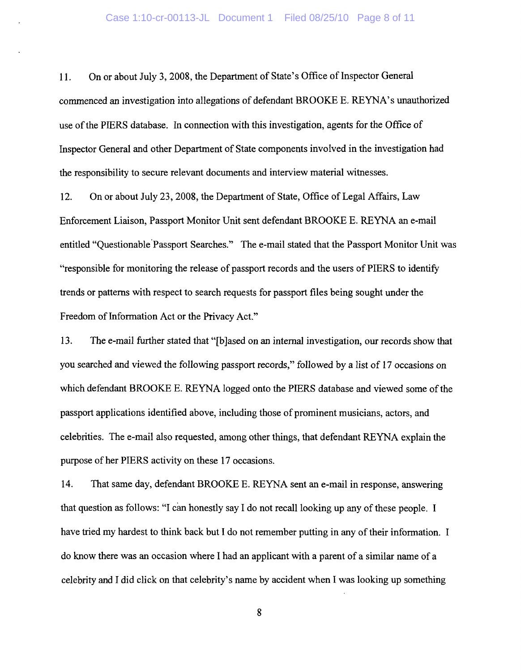11. On or about July 3, 2008, the Department of State's Office of Inspector General commenced an investigation into allegations of defendant BROOKE E. REYNA's unauthorized use of the PIERS database. In connection with this investigation, agents for the Office of Inspector General and other Department of State components involved in the investigation had the responsibility to secure relevant documents and interview material witnesses.

12. On or about July 23, 2008, the Department of State, Office of Legal Affairs, Law Enforcement Liaison, Passport Monitor Unit sent defendant BROOKE E. REYNA an e-mail entitled "Questionable Passport Searches." The e-mail stated that the Passport Monitor Unit was "responsible for monitoring the release of passport records and the users of PIERS to identify trends or patterns with respect to search requests for passport files being sought under the Freedom of Information Act or the Privacy Act."

13. The e-mail further stated that "[b]ased on an internal investigation, our records show that you searched and viewed the following passport records," followed by a list of 17 occasions on which defendant BROOKE E. REYNA logged onto the PIERS database and viewed some of the passport applications identified above, including those of prominent musicians, actors, and celebrities. The e-mail also requested, among other things, that defendant REYNA explain the purpose of her PIERS activity on these 17 occasions.

14. That same day, defendant BROOKE E. REYNA sent an e-mail in response, answering that question as follows: "I can honestly say I do not recall looking up any of these people. I have tried my hardest to think back but I do not remember putting in any of their information. I do know there was an occasion where I had an applicant with a parent of a similar name of a celebrity and I did click on that celebrity's name by accident when I was looking up something

**8**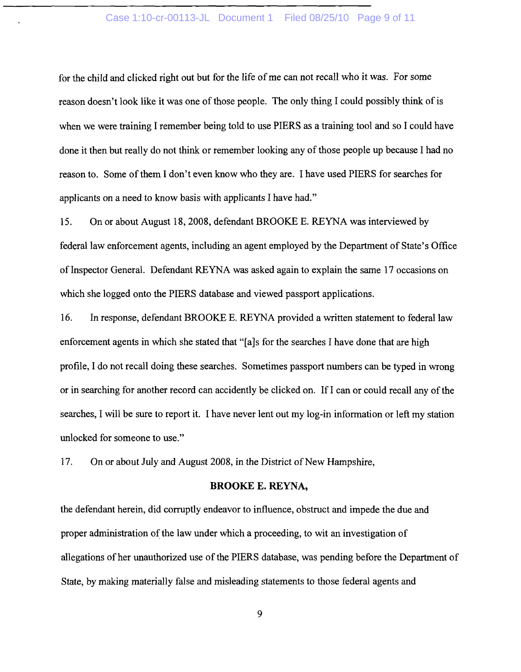#### Case 1:10-cr-00113-JL Document 1 Filed 08/25/10 Page 9 of 11

for the child and clicked right out but for the life of me can not recall who it was. For some reason doesn't look like it was one of those people. The only thing I could possibly think of is when we were training I remember being told to use PIERS as a training tool and so I could have done it then but really do not think or remember looking any of those people up because I had no reason to. Some of them I don't even know who they are. I have used PIERS for searches for applicants on a need to know basis with applicants I have had."

15. On or about August 18, 2008, defendant BROOKE E. REYNA was interviewed by federal law enforcement agents, including an agent employed by the Department of State's Office of Inspector General. Defendant REYNA was asked again to explain the same 17 occasions on which she logged onto the PIERS database and viewed passport applications.

16. In response, defendant BROOKE E. REYNA provided a written statement to federal law enforcement agents in which she stated that "[a]s for the searches I have done that are high profile, I do not recall doing these searches. Sometimes passport numbers can be typed in wrong or in searching for another record can accidently be clicked on. If I can or could recall any of the searches, I will be sure to report it. I have never lent out my log-in information or left my station unlocked for someone to use."

17. On or about July and August 2008, in the District of New Hampshire,

## **BROOKE E. REYNA,**

the defendant herein, did corruptly endeavor to influence, obstruct and impede the due and proper administration of the law under which a proceeding, to wit an investigation of allegations of her unauthorized use of the PIERS database, was pending before the Department of State, by making materially false and misleading statements to those federal agents and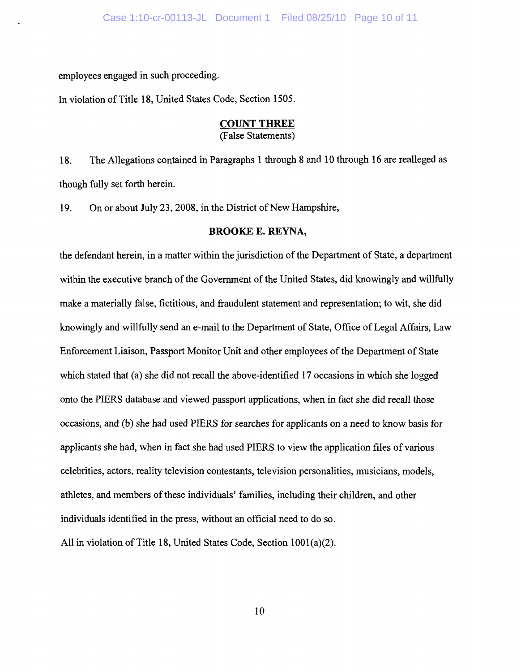employees engaged in such proceeding.

In violation of Title 18, United States Code, Section 1505.

# **COUNT THREE**<br>(False Statements)

18. The Allegations contained in Paragraphs 1 through 8 and 10 through 16 are realleged as though fully set forth herein.

19. On or about July 23, 2008, in the District of New Hampshire,

#### **BROOKE E. REYNA,**

the defendant herein, in a matter within the jurisdiction of the Department of State, a department within the executive branch of the Government of the United States, did knowingly and willfully make a materially false, fictitious, and fraudulent statement and representation; to wit, she did knowingly and willfully send an e-mail to the Department of State, Office of Legal Affairs, Law Enforcement Liaison, Passport Monitor Unit and other employees of the Department of State which stated that (a) she did not recall the above-identified 17 occasions in which she logged onto the PIERS database and viewed passport applications, when in fact she did recall those onto the PIERS database and viewed passes and viewed passes and viewed passes are call those did recall those  $\alpha$ occasions, and (b) she had used PIERS for searches for applicants on a need to know basis for applicants she had, when in fact she had used PIERS to view the application files of various applicants she had, when in fact she had used PIERS to view the application files of various celebrities, actors, reality television contestants, television personalities, musicians, models, athletes, and members of these individuals' families, including their children, and other individuals identified in the press, without an official need to do so.

All in violation of Title 18, United States Code, Section 1001(a)(2).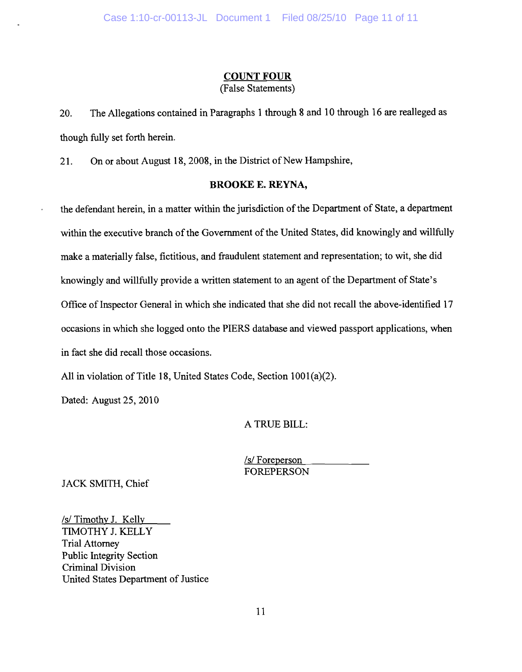# **COUNT FOUR**<br>(False Statements)

The Allegations contained in Paragraphs 1 through 8 and 10 through 16 are realleged as 20. though fully set forth herein.

On or about August 18, 2008, in the District of New Hampshire,  $21.$ 

#### **BROOKE E. REYNA,**

the defendant herein, in a matter within the jurisdiction of the Department of State, a department within the executive branch of the Government of the United States, did knowingly and willfully make a materially false, fictitious, and fraudulent statement and representation; to wit, she did knowingly and willfully provide a written statement to an agent of the Department of State's Office of Inspector General in which she indicated that she did not recall the above-identified 17 occasions in which she logged onto the PIERS database and viewed passport applications, when occasions in which she logged onto the PIERS database and viewed passport applications, when in fact she did recall those occasions.

All in violation of Title 18, United States Code, Section 1001(a)(2).

Dated: August 25, 2010

A TRUE BILL:

*Isl* Foreperson FOREPERSON

JACK SMITH, Chief

*Isl* Timothy J. Kelly TIMOTHY J. KELLY Trial Attorney Public Integrity Section Criminal Division United States Department of Justice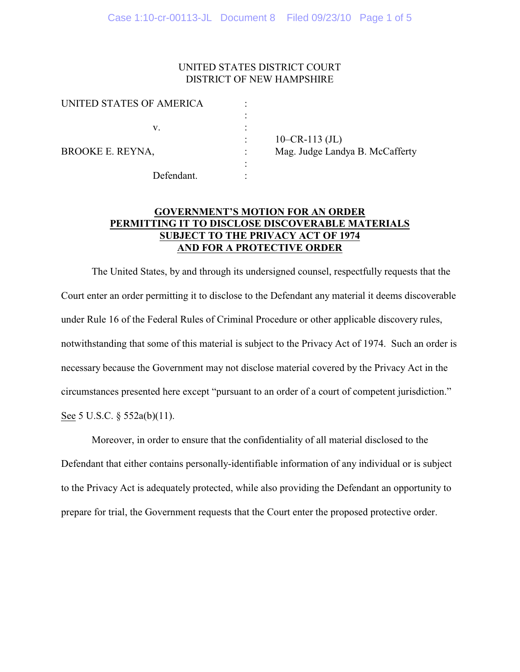# UNITED STATES DISTRICT COURT DISTRICT OF NEW HAMPSHIRE

| UNITED STATES OF AMERICA |                                 |
|--------------------------|---------------------------------|
|                          |                                 |
| v.                       |                                 |
|                          | $10$ –CR-113 (JL)               |
| BROOKE E. REYNA,         | Mag. Judge Landya B. McCafferty |
|                          |                                 |
| Defendant.               |                                 |

# **GOVERNMENT'S MOTION FOR AN ORDER PERMITTING IT TO DISCLOSE DISCOVERABLE MATERIALS SUBJECT TO THE PRIVACY ACT OF 1974 AND FOR A PROTECTIVE ORDER**

The United States, by and through its undersigned counsel, respectfully requests that the Court enter an order permitting it to disclose to the Defendant any material it deems discoverable under Rule 16 of the Federal Rules of Criminal Procedure or other applicable discovery rules, notwithstanding that some of this material is subject to the Privacy Act of 1974. Such an order is necessary because the Government may not disclose material covered by the Privacy Act in the circumstances presented here except "pursuant to an order of a court of competent jurisdiction."

See 5 U.S.C. § 552a(b)(11).

Moreover, in order to ensure that the confidentiality of all material disclosed to the Defendant that either contains personally-identifiable information of any individual or is subject to the Privacy Act is adequately protected, while also providing the Defendant an opportunity to prepare for trial, the Government requests that the Court enter the proposed protective order.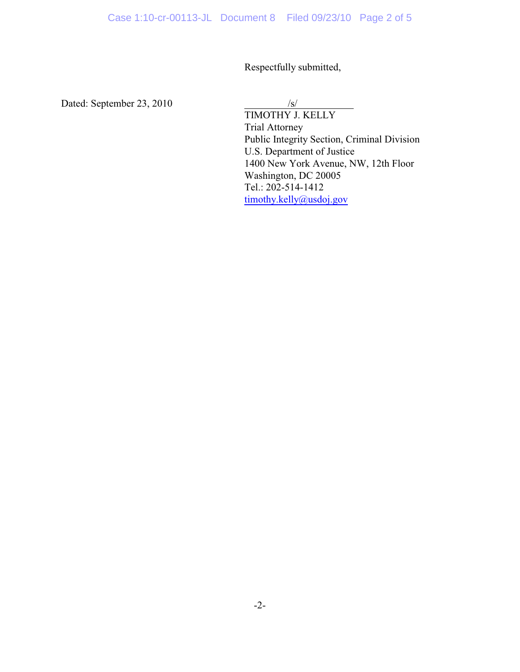Respectfully submitted,

Dated: September 23, 2010 /s/

TIMOTHY J. KELLY Trial Attorney Public Integrity Section, Criminal Division U.S. Department of Justice 1400 New York Avenue, NW, 12th Floor Washington, DC 20005 Tel.: 202-514-1412 [timothy.kelly@usdoj.gov](mailto:matthew.stennes@usdoj.gov)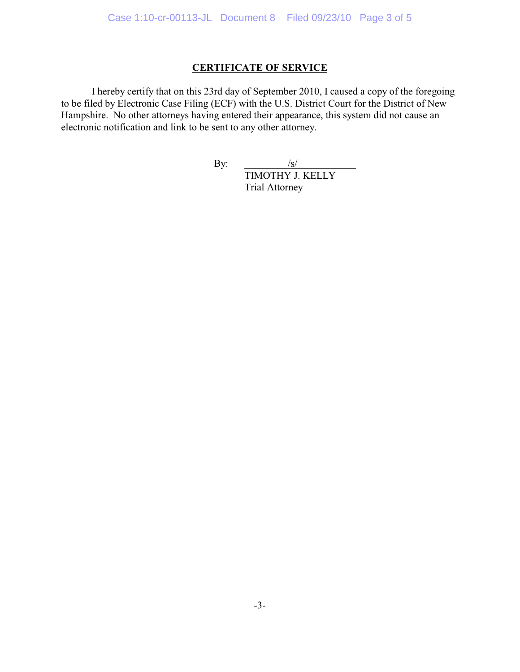# **CERTIFICATE OF SERVICE**

I hereby certify that on this 23rd day of September 2010, I caused a copy of the foregoing to be filed by Electronic Case Filing (ECF) with the U.S. District Court for the District of New Hampshire. No other attorneys having entered their appearance, this system did not cause an electronic notification and link to be sent to any other attorney.

By:  $/s/$ 

TIMOTHY J. KELLY Trial Attorney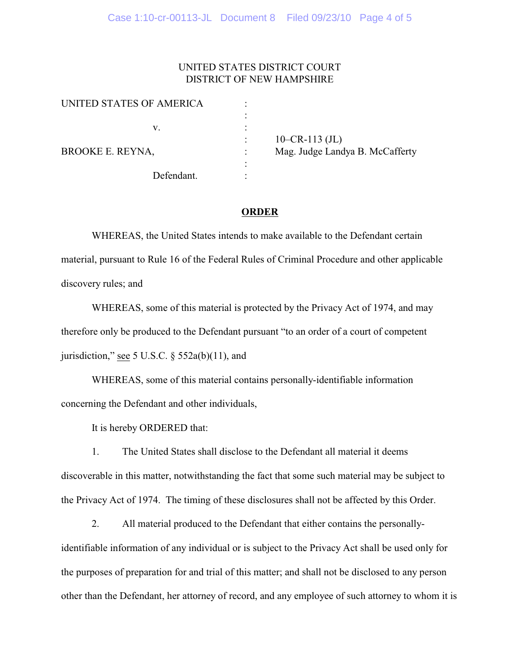# UNITED STATES DISTRICT COURT DISTRICT OF NEW HAMPSHIRE

| UNITED STATES OF AMERICA |                                 |
|--------------------------|---------------------------------|
|                          |                                 |
| v.                       |                                 |
|                          | $10-CR-113$ (JL)                |
| BROOKE E. REYNA,         | Mag. Judge Landya B. McCafferty |
|                          |                                 |
| Defendant.               |                                 |

## **ORDER**

WHEREAS, the United States intends to make available to the Defendant certain material, pursuant to Rule 16 of the Federal Rules of Criminal Procedure and other applicable discovery rules; and

WHEREAS, some of this material is protected by the Privacy Act of 1974, and may therefore only be produced to the Defendant pursuant "to an order of a court of competent jurisdiction," see 5 U.S.C.  $\S$  552a(b)(11), and

WHEREAS, some of this material contains personally-identifiable information concerning the Defendant and other individuals,

It is hereby ORDERED that:

1. The United States shall disclose to the Defendant all material it deems discoverable in this matter, notwithstanding the fact that some such material may be subject to the Privacy Act of 1974. The timing of these disclosures shall not be affected by this Order.

2. All material produced to the Defendant that either contains the personallyidentifiable information of any individual or is subject to the Privacy Act shall be used only for the purposes of preparation for and trial of this matter; and shall not be disclosed to any person other than the Defendant, her attorney of record, and any employee of such attorney to whom it is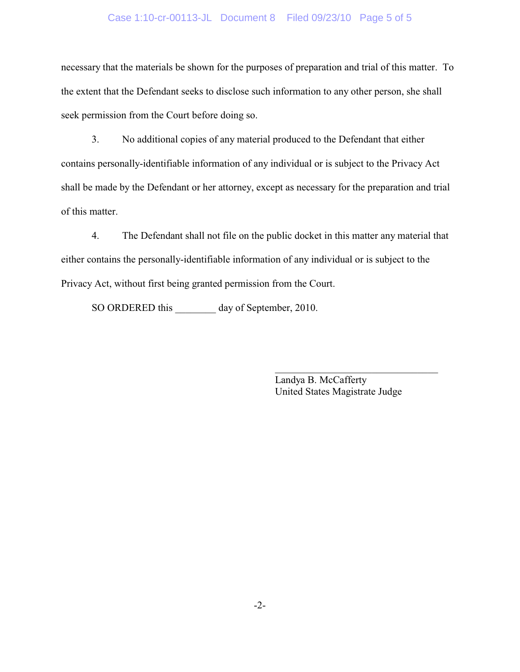## Case 1:10-cr-00113-JL Document 8 Filed 09/23/10 Page 5 of 5

necessary that the materials be shown for the purposes of preparation and trial of this matter. To the extent that the Defendant seeks to disclose such information to any other person, she shall seek permission from the Court before doing so.

3. No additional copies of any material produced to the Defendant that either contains personally-identifiable information of any individual or is subject to the Privacy Act shall be made by the Defendant or her attorney, except as necessary for the preparation and trial of this matter.

4. The Defendant shall not file on the public docket in this matter any material that either contains the personally-identifiable information of any individual or is subject to the Privacy Act, without first being granted permission from the Court.

SO ORDERED this \_\_\_\_\_\_\_\_ day of September, 2010.

Landya B. McCafferty United States Magistrate Judge

 $\mathcal{L}_\text{max}$  , and the set of the set of the set of the set of the set of the set of the set of the set of the set of the set of the set of the set of the set of the set of the set of the set of the set of the set of the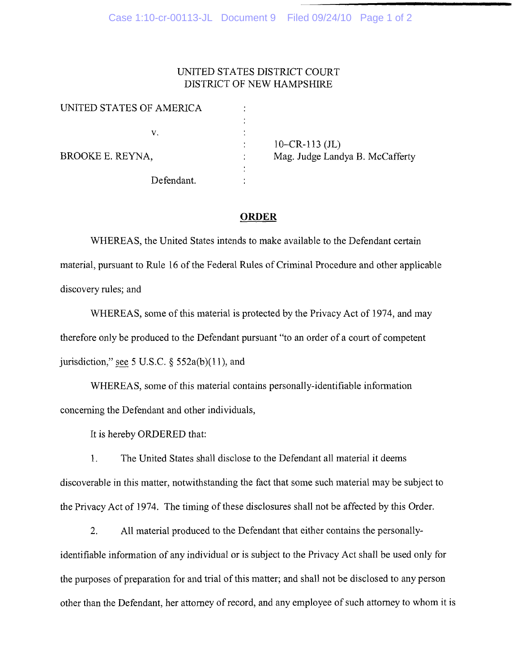# UNITED STATES DISTRICT COURT DISTRICT OF NEW HAMPSHIRE

| UNITED STATES OF AMERICA |                                 |
|--------------------------|---------------------------------|
|                          |                                 |
| V.                       |                                 |
|                          | 10–CR-113 $(JL)$                |
| BROOKE E. REYNA,         | Mag. Judge Landya B. McCafferty |
|                          |                                 |
| Defendant.               |                                 |

## **ORDER**

WHEREAS, the United States intends to make available to the Defendant certain material, pursuant to Rule 16 of the Federal Rules of Criminal Procedure and other applicable discovery rules; and

WHEREAS, some of this material is protected by the Privacy Act of 1974, and may therefore only be produced to the Defendant pursuant "to an order of a court of competent jurisdiction," see 5 U.S.C.  $\S$  552a(b)(11), and

WHEREAS, some of this material contains personally-identifiable information concerning the Defendant and other individuals,

It is hereby ORDERED that:

1. The United States shall disclose to the Defendant all material it deems discoverable in this matter, notwithstanding the fact that some such material may be subject to the Privacy Act of 1974. The timing of these disclosures shall not be affected by this Order.

2. All material produced to the Defendant that either contains the personallyidentifiable information of any individual or is subject to the Privacy Act shall be used only for the purposes of preparation for and trial of this matter; and shall not be disclosed to any person other than the Defendant, her attorney of record, and any employee of such attorney to whom it is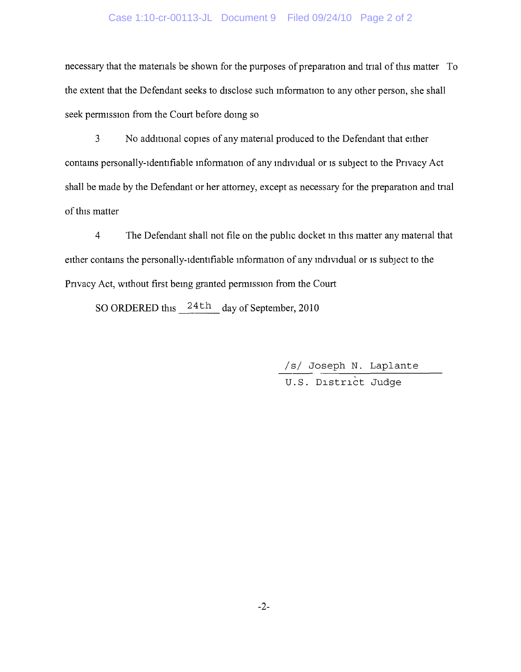#### Case 1:10-cr-00113-JL Document 9 Filed 09/24/10 Page 2 of 2

necessary that the materials be shown for the purposes of preparation and trial of this matter To the extent that the Defendant seeks to disclose such information to any other person, she shall seek permission from the Court before doing so

3 No additional copies of any material produced to the Defendant that either contains personally-identifiable information of any individual or is subject to the Privacy Act shall be made by the Defendant or her attorney, except as necessary for the preparation and trial of this matter

4 The Defendant shall not file on the public docket in this matter any material that either contains the personally-identifiable information of any individual or is subject to the Privacy Act, without first being granted permission from the Court

SO ORDERED this  $\frac{24 \text{th}}{4}$  day of September, 2010

/ s/ Joseph N. Laplante

U.S. District Judge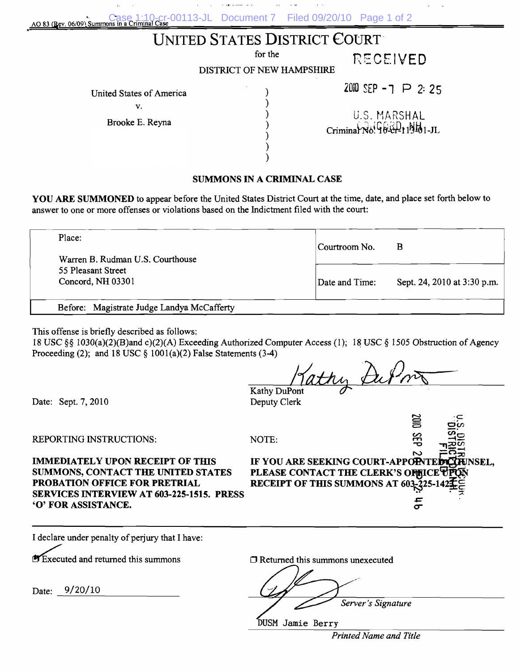| An 83 (Rev. 06/09) Summons in a Criminal Case 1:10-cr-00113-JL Document 7 Filed 09/20/10 Page 1 of 2 |         |                              |                 |
|------------------------------------------------------------------------------------------------------|---------|------------------------------|-----------------|
|                                                                                                      |         | UNITED STATES DISTRICT COURT |                 |
|                                                                                                      | for the |                              | <b>RECEIVED</b> |

DISTRICT OF NEW HAMPSHIRE

United States of America

v.

Brooke E. Reyna

U.S. MARSHAL Criminal No. 10-01-113-01-JL

2010 SEP -  $7$   $\triangleright$  2:25

#### **SUMMONS IN A CRIMINAL CASE**

**YOU ARE SUMMONED** to appear before the United States District Court at the time, date, and place set forth below to answer to one or more offenses or violations based on the Indictment filed with the court:

| Place:                           | Courtroom No.  | В                           |
|----------------------------------|----------------|-----------------------------|
| Warren B. Rudman U.S. Courthouse |                |                             |
| 55 Pleasant Street               |                |                             |
| Concord, NH 03301                | Date and Time: | Sept. 24, 2010 at 3:30 p.m. |

This offense is briefly described as follows:

18 USC §§ 1030(a)(2)(B)and c)(2)(A) Exceeding Authorized Computer Access (1); 18 USC § 1505 Obstruction of Agency Proceeding (2); and 18 USC  $\S$  1001(a)(2) False Statements (3-4)

Kathy DuPont Kathy &

Deputy Clerk

Date: Sept. 7, 2010

REPORTING INSTRUCTIONS:

NOTE:

**PROBATION OFFICE FOR PRETRIAL RECEIPT OF THIS SUMMONS AT 603. SERVICES INTERVIEW AT 603-225-1515. PRESS 'O' FOR ASSISTANCE.** 

**IMMEDIATELY UPON RECEIPT OF THIS IF YOU ARE SEEKING COURT-APPOINTED COUNT SUMMONS, CONTACT THE UNITED STATES** PLEASE CONTACT THE CLERK'S OFFICE<sup>T</sup>

c5 Ot/J

**I** declare under penalty of perjury that I have:

**EXecuted and returned this summons** 

Date: 9/20/10

 $\Box$  Returned this summons unexecuted

*Server's Signature* 

DUSM Jamie Berry

*Printed Name and Title*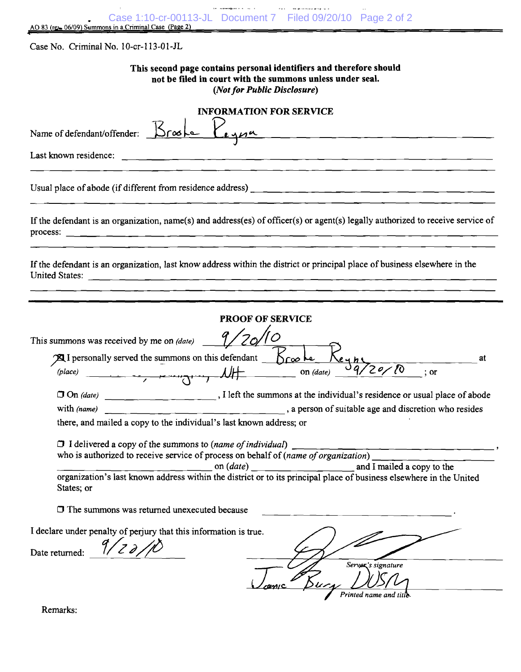| Case 1:10-cr-00113-JL Document 7 Filed 09/20/10 Page 2 of 2<br>AO 83 (rg = 06/09) Summons in a Criminal Case (Page 2)                                                                                                                                                          |    |
|--------------------------------------------------------------------------------------------------------------------------------------------------------------------------------------------------------------------------------------------------------------------------------|----|
| Case No. Criminal No. 10-cr-113-01-JL                                                                                                                                                                                                                                          |    |
| This second page contains personal identifiers and therefore should<br>not be filed in court with the summons unless under seal.<br>(Not for Public Disclosure)                                                                                                                |    |
| <b>INFORMATION FOR SERVICE</b><br>Name of defendant/offender: Brooke Peyna                                                                                                                                                                                                     |    |
| Last known residence:                                                                                                                                                                                                                                                          |    |
| Usual place of abode (if different from residence address) $\frac{1}{2}$ and $\frac{1}{2}$ and $\frac{1}{2}$ and $\frac{1}{2}$ and $\frac{1}{2}$ and $\frac{1}{2}$ and $\frac{1}{2}$ and $\frac{1}{2}$ and $\frac{1}{2}$ and $\frac{1}{2}$ and $\frac{1}{2}$ and $\frac{1}{2}$ |    |
| If the defendant is an organization, name(s) and address(es) of officer(s) or agent(s) legally authorized to receive service of                                                                                                                                                |    |
| If the defendant is an organization, last know address within the district or principal place of business elsewhere in the<br>United States:                                                                                                                                   |    |
| <b>PROOF OF SERVICE</b>                                                                                                                                                                                                                                                        |    |
| This summons was received by me on (date)                                                                                                                                                                                                                                      |    |
| <b>A</b> I personally served the summons on this defendant $K_{\infty}$                                                                                                                                                                                                        | at |
| (place)<br>On (date)<br>$:$ or                                                                                                                                                                                                                                                 |    |
| The summons at the individual's residence or usual place of abode<br>$\Box$ On (date)                                                                                                                                                                                          |    |
| a person of suitable age and discretion who resides<br>with (name)                                                                                                                                                                                                             |    |
| there, and mailed a copy to the individual's last known address; or                                                                                                                                                                                                            |    |
| who is authorized to receive service of process on behalf of $(name of organization)$ _                                                                                                                                                                                        |    |
| on $(data)$ and I mailed a copy to the organization's last known address within the district or to its principal place of business elsewhere in the United<br>States; or                                                                                                       |    |
| $\Box$ The summons was returned unexecuted because                                                                                                                                                                                                                             |    |
| I declare under penalty of perjury that this information is true.<br>Date returned: $9/20/10$                                                                                                                                                                                  |    |
| Servex's signature                                                                                                                                                                                                                                                             |    |
| Printed name and title                                                                                                                                                                                                                                                         |    |

Remarks: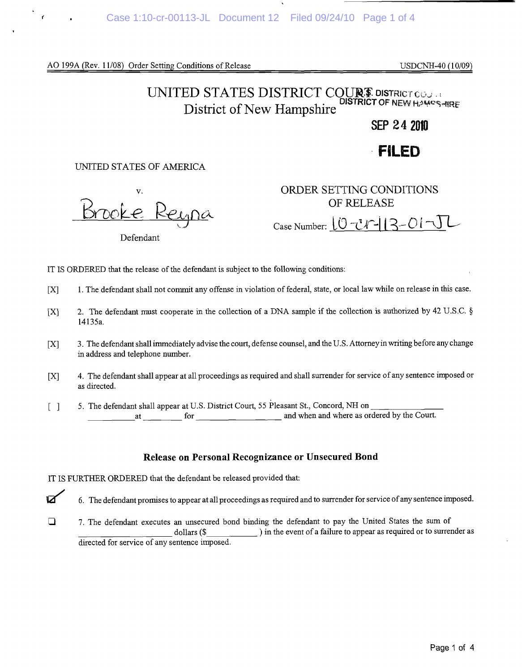AO 199A (Rev. 11/08) Order Setting Conditions of Release USDCNH-40 (10/09)

# UNITED STATES DISTRICT COUR<sup>S</sup> DISTRICT COJ District of New Hampshire

# **SEP 24 2010**

# **FILE D**

#### UNITED STATES OF AMERICA

Reypa

Defendant

v. ORDER SETTING CONDITIONS **OF RELEASE**  $\frac{10}{\text{Case Number:}} \frac{10}{\text{C} \cdot \text{C} \cdot \text{C} \cdot 13 - \text{O} \cdot \text{C} \cdot \text{C}}$ 

IT IS ORDERED that the release of the defendant is subject to the following conditions:

- [X] 1. The defendant shall not commit any offense in violation of federal, state, or local law while on release in this case.
- fX] 2. The defendant must cooperate in the collection of a DNA sample if the collection is authorized by 42 U.S.C. § 14135a.
- [X] 3. The defendant shall immediately advise the court, defense counsel, and the U.S. Attorney in writing before any change in address and telephone number.
- [X] 4. The defendant shall appear at all proceedings as required and shall surrender for service of any sentence imposed or as directed.
- [ ] 5. The defendant shall appear at U.S. District Court, 55 Pleasant St., Concord, NH on at for **for** and when and where as ordered by the Court.

## Release on Personal Recognizance or Unsecured Bond

IT IS FURTHER ORDERED that the defendant be released provided that:

 $\boxtimes$  6. The defendant promises to appear at all proceedings as required and to surrender for service of any sentence imposed.

<sup>2</sup> 7. The defendant executes an unsecured bond binding the defendant to pay the United States the sum of dollars (\$ ) in the event of a failure to appear as required or to surrender as directed for service of any sentence imposed.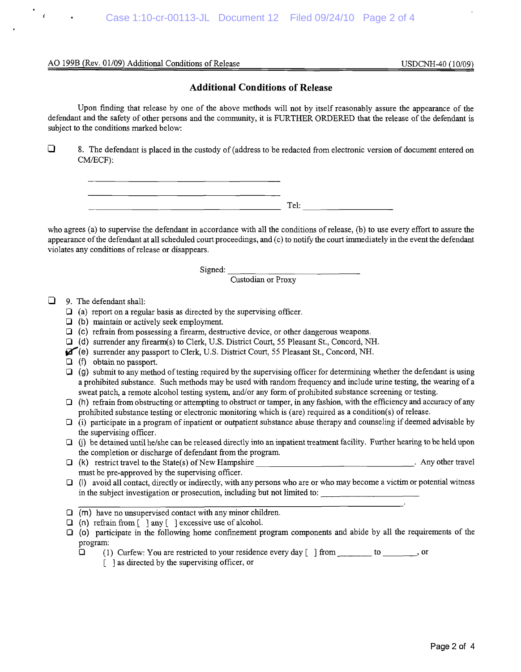#### AO 199B (Rev. 01/09) Additional Conditions of Release USDCNH-40 (10/09)

#### Additional Conditions of Release

Upon finding that release by one of the above methods will not by itself reasonably assure the appearance of the defendant and the safety of other persons and the community, it is FURTHER ORDERED that the release of the defendant is subject to the conditions marked below:

 $\Box$  8. The defendant is placed in the custody of (address to be redacted from electronic version of document entered on CM/ECF):

Tel:

who agrees (a) to supervise the defendant in accordance with all the conditions of release, (b) to use every effort to assure the appearance of the defendant at all scheduled court proceedings, and (c) to notify the court immediately in the event the defendant violates any conditions of release or disappears.

Signed:

Custodian or Proxy

 $\Box$  9. The defendant shall:

- $\Box$  (a) report on a regular basis as directed by the supervising officer.
- $\Box$  (b) maintain or actively seek employment.
- $\Box$  (c) refrain from possessing a firearm, destructive device, or other dangerous weapons.
- (d) surrender any fireann(s) to Clerk, U.S. District Court, 55 Pleasant St., Concord, NH.
- ^f\*(e) surrender any passport to Clerk, U.S. District Court, 55 Pleasant St., Concord, NH.
- $\Box$  (f) obtain no passport.
- $\Box$  (g) submit to any method of testing required by the supervising officer for determining whether the defendant is using a prohibited substance. Such methods may be used with random frequency and include urine testing, the wearing of a sweat patch, a remote alcohol testing system, and/or any form of prohibited substance screening or testing.
- $\Box$  (h) refrain from obstructing or attempting to obstruct or tamper, in any fashion, with the efficiency and accuracy of any prohibited substance testing or electronic monitoring which is (are) required as a condition(s) of release.
- $\Box$  (i) participate in a program of inpatient or outpatient substance abuse therapy and counseling if deemed advisable by the supervising officer.
- $\Box$  (i) be detained until he/she can be released directly into an inpatient treatment facility. Further hearing to be held upon the completion or discharge of defendant from the program.
- $\Box$  (k) restrict travel to the State(s) of New Hampshire  $\Box$  . Any other travel must be pre-approved by the supervising officer.
- $\Box$  (I) avoid all contact, directly or indirectly, with any persons who are or who may become a victim or potential witness in the subject investigation or prosecution, including but not limited to:
- $\Box$  (m) have no unsupervised contact with any minor children.
- $\Box$  (n) refrain from  $\Box$  any  $\Box$  excessive use of alcohol.
- Q (o) participate in the following home confinement program components and abide by all the requirements of the program:
	- $\Box$  (1) Curfew: You are restricted to your residence every day [ ] from  $\Box$  to  $\Box$ , or
		- [ ] as directed by the supervising officer, or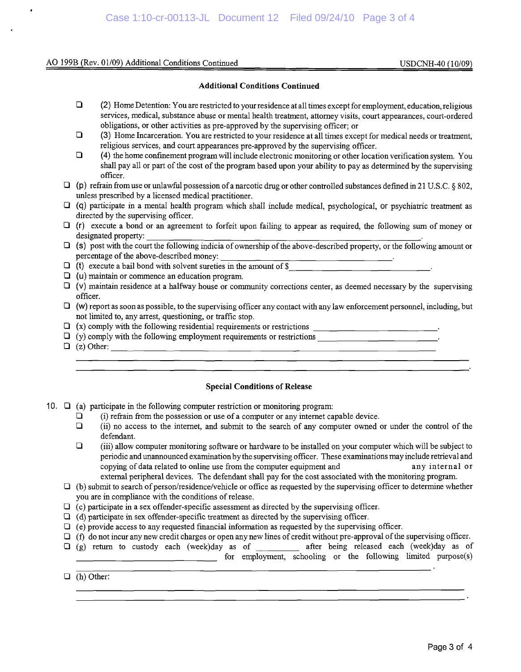#### AO 199B (Rev. 01/09) Additional Conditions Continued USDCNH-40 (10/09)

#### **Additional Conditions Continued**

- **Q** (2) Home Detention: You are restricted to your residence at all times except for employment, education, religious services, medical, substance abuse or mental health treatment, attorney visits, court appearances, court-ordered obligations, or other activities as pre-approved by the supervising officer; or
- Q (3) Home Incarceration. You are restricted to your residence at all times except for medical needs or treatment, religious services, and court appearances pre-approved by the supervising officer.
- Q (4) the home confinement program will include electronic monitoring or other location verification system. You shall pay all or part of the cost of the program based upon your ability to pay as determined by the supervising officer.
- $\Box$  (p) refrain from use or unlawful possession of a narcotic drug or other controlled substances defined in 21 U.S.C. § 802, unless prescribed by a licensed medical practitioner.
- Q (q) participate in a mental health program which shall include medical, psychological, or psychiatric treatment as directed by the supervising officer.
- Q (r) execute a bond or an agreement to forfeit upon failing to appear as required, the following sum of money or designated property: .
- $\Box$  (s) post with the court the following indicia of ownership of the above-described property, or the following amount or percentage of the above-described money:  $\frac{1}{\sqrt{1-\frac{1}{2}}\sqrt{1-\frac{1}{2}}\sqrt{1-\frac{1}{2}}\sqrt{1-\frac{1}{2}}\sqrt{1-\frac{1}{2}}\sqrt{1-\frac{1}{2}}\sqrt{1-\frac{1}{2}}\sqrt{1-\frac{1}{2}}\sqrt{1-\frac{1}{2}}\sqrt{1-\frac{1}{2}}\sqrt{1-\frac{1}{2}}\sqrt{1-\frac{1}{2}}\sqrt{1-\frac{1}{2}}\sqrt{1-\frac{1}{2}}\sqrt{1-\frac{1}{2}}\sqrt{1-\frac{1}{$
- $\Box$  (t) execute a bail bond with solvent sureties in the amount of \$
- $\Box$  (u) maintain or commence an education program.
- $\Box$  (v) maintain residence at a halfway house or community corrections center, as deemed necessary by the supervising officer.
- $\Box$  (w) report as soon as possible, to the supervising officer any contact with any law enforcement personnel, including, but not limited to, any arrest, questioning, or traffic stop.
- $\Box$  (x) comply with the following residential requirements or restrictions  $\Box$
- $\Box$  (y) comply with the following employment requirements or restrictions .
- $\Box$  (z) Other:

#### **Special Conditions of Release**

- 10.  $\Box$  (a) participate in the following computer restriction or monitoring program:
	- $\Box$  (i) refrain from the possession or use of a computer or any internet capable device.
	- $\Box$  (ii) no access to the internet, and submit to the search of any computer owned or under the control of the defendant.
	- $\Box$  (iii) allow computer monitoring software or hardware to be installed on your computer which will be subject to periodic and unannounced examination by the supervising officer. These examinations may include retrieval and copying of data related to online use from the computer equipment and any internal or external peripheral devices. The defendant shall pay for the cost associated with the monitoring program.
	- $\Box$  (b) submit to search of person/residence/vehicle or office as requested by the supervising officer to determine whether you are in compliance with the conditions of release.
	- $\Box$  (c) participate in a sex offender-specific assessment as directed by the supervising officer.
	- $\Box$  (d) participate in sex offender-specific treatment as directed by the supervising officer.
	- $\Box$  (e) provide access to any requested financial information as requested by the supervising officer.
	- $\Box$  (f) do not incur any new credit charges or open any new lines of credit without pre-approval of the supervising officer.
	- Q (g) return to custody each (week)day as of after being released each (week)day as of **For employment, schooling or the following limited purpose(s)**
	- $\Box$  (h) Other: